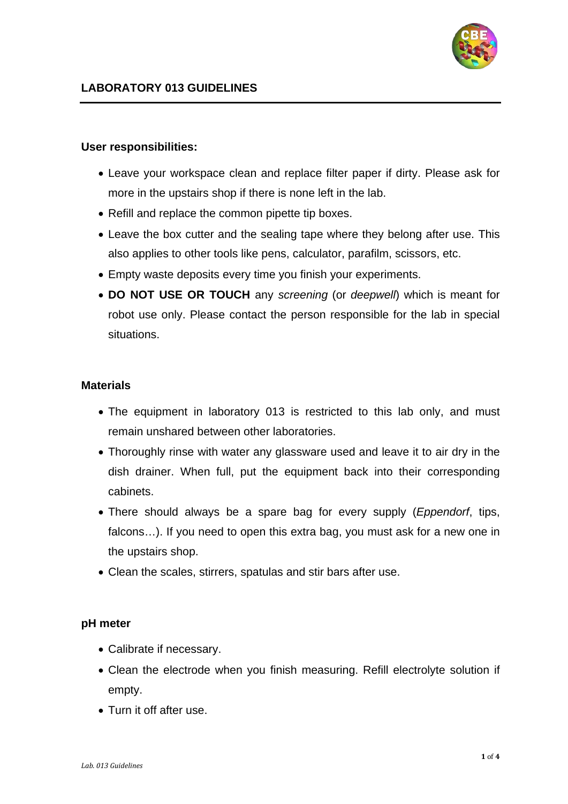

### **User responsibilities:**

- Leave your workspace clean and replace filter paper if dirty. Please ask for more in the upstairs shop if there is none left in the lab.
- Refill and replace the common pipette tip boxes.
- Leave the box cutter and the sealing tape where they belong after use. This also applies to other tools like pens, calculator, parafilm, scissors, etc.
- Empty waste deposits every time you finish your experiments.
- **DO NOT USE OR TOUCH** any *screening* (or *deepwell*) which is meant for robot use only. Please contact the person responsible for the lab in special situations.

### **Materials**

- The equipment in laboratory 013 is restricted to this lab only, and must remain unshared between other laboratories.
- Thoroughly rinse with water any glassware used and leave it to air dry in the dish drainer. When full, put the equipment back into their corresponding cabinets.
- There should always be a spare bag for every supply (*Eppendorf*, tips, falcons…). If you need to open this extra bag, you must ask for a new one in the upstairs shop.
- Clean the scales, stirrers, spatulas and stir bars after use.

## **pH meter**

- Calibrate if necessary.
- Clean the electrode when you finish measuring. Refill electrolyte solution if empty.
- Turn it off after use.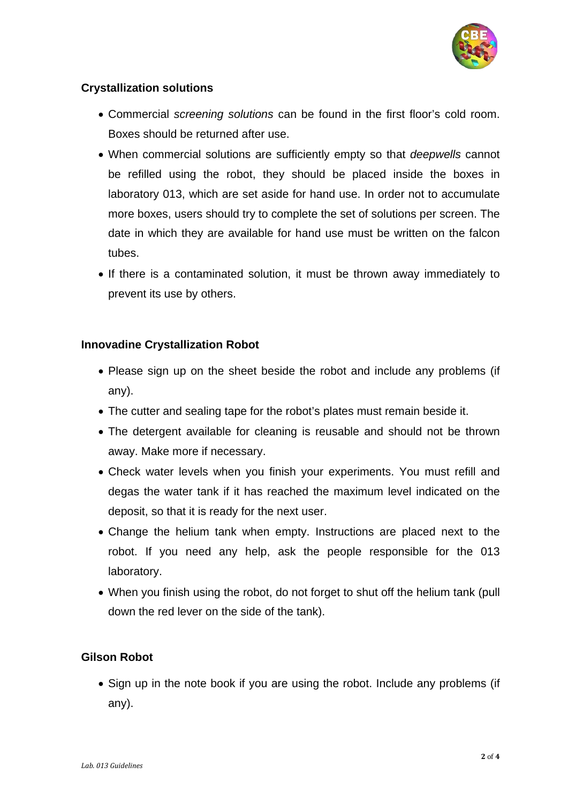

# **Crystallization solutions**

- Commercial *screening solutions* can be found in the first floor's cold room. Boxes should be returned after use.
- When commercial solutions are sufficiently empty so that *deepwells* cannot be refilled using the robot, they should be placed inside the boxes in laboratory 013, which are set aside for hand use. In order not to accumulate more boxes, users should try to complete the set of solutions per screen. The date in which they are available for hand use must be written on the falcon tubes.
- If there is a contaminated solution, it must be thrown away immediately to prevent its use by others.

## **Innovadine Crystallization Robot**

- Please sign up on the sheet beside the robot and include any problems (if any).
- The cutter and sealing tape for the robot's plates must remain beside it.
- The detergent available for cleaning is reusable and should not be thrown away. Make more if necessary.
- Check water levels when you finish your experiments. You must refill and degas the water tank if it has reached the maximum level indicated on the deposit, so that it is ready for the next user.
- Change the helium tank when empty. Instructions are placed next to the robot. If you need any help, ask the people responsible for the 013 laboratory.
- When you finish using the robot, do not forget to shut off the helium tank (pull down the red lever on the side of the tank).

## **Gilson Robot**

• Sign up in the note book if you are using the robot. Include any problems (if any).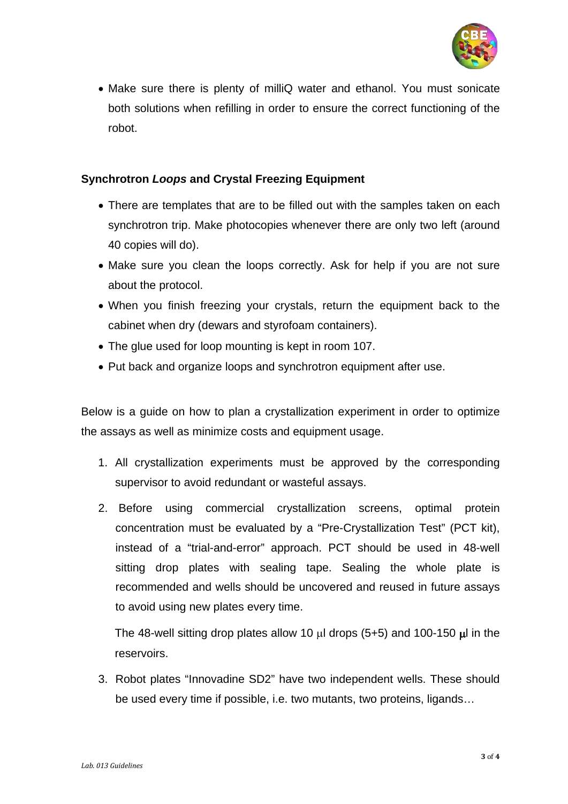

• Make sure there is plenty of milliQ water and ethanol. You must sonicate both solutions when refilling in order to ensure the correct functioning of the robot.

# **Synchrotron** *Loops* **and Crystal Freezing Equipment**

- There are templates that are to be filled out with the samples taken on each synchrotron trip. Make photocopies whenever there are only two left (around 40 copies will do).
- Make sure you clean the loops correctly. Ask for help if you are not sure about the protocol.
- When you finish freezing your crystals, return the equipment back to the cabinet when dry (dewars and styrofoam containers).
- The glue used for loop mounting is kept in room 107.
- Put back and organize loops and synchrotron equipment after use.

Below is a guide on how to plan a crystallization experiment in order to optimize the assays as well as minimize costs and equipment usage.

- 1. All crystallization experiments must be approved by the corresponding supervisor to avoid redundant or wasteful assays.
- 2. Before using commercial crystallization screens, optimal protein concentration must be evaluated by a "Pre-Crystallization Test" (PCT kit), instead of a "trial-and-error" approach. PCT should be used in 48-well sitting drop plates with sealing tape. Sealing the whole plate is recommended and wells should be uncovered and reused in future assays to avoid using new plates every time.

The 48-well sitting drop plates allow 10  $\mu$ l drops (5+5) and 100-150  $\mu$ l in the reservoirs.

3. Robot plates "Innovadine SD2" have two independent wells. These should be used every time if possible, i.e. two mutants, two proteins, ligands…